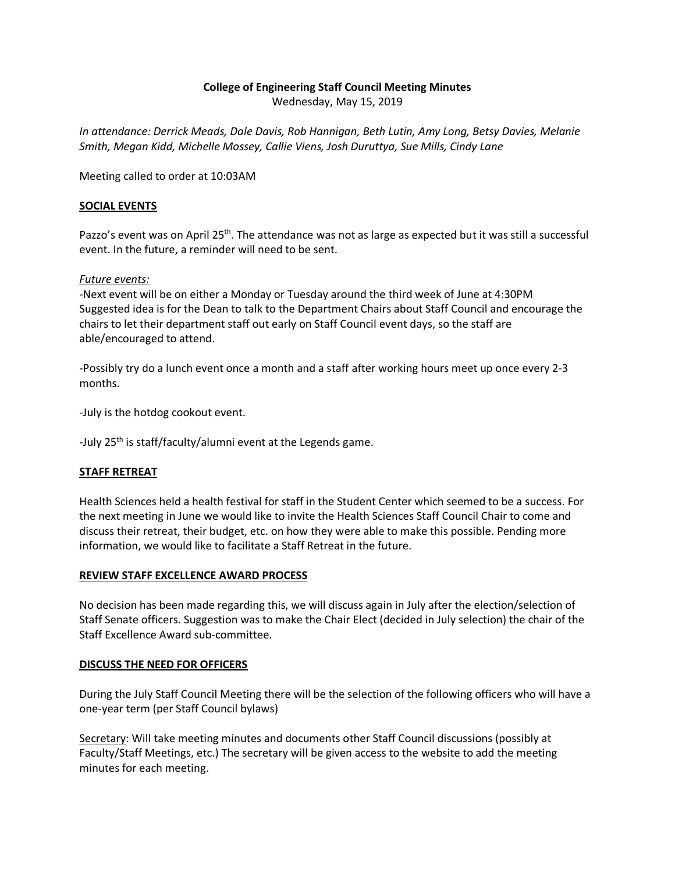# **College of Engineering Staff Council Meeting Minutes**

Wednesday, May 15, 2019

*In attendance: Derrick Meads, Dale Davis, Rob Hannigan, Beth Lutin, Amy Long, Betsy Davies, Melanie Smith, Megan Kidd, Michelle Mossey, Callie Viens, Josh Duruttya, Sue Mills, Cindy Lane*

Meeting called to order at 10:03AM

## **SOCIAL EVENTS**

Pazzo's event was on April 25<sup>th</sup>. The attendance was not as large as expected but it was still a successful event. In the future, a reminder will need to be sent.

### *Future events:*

-Next event will be on either a Monday or Tuesday around the third week of June at 4:30PM Suggested idea is for the Dean to talk to the Department Chairs about Staff Council and encourage the chairs to let their department staff out early on Staff Council event days, so the staff are able/encouraged to attend.

-Possibly try do a lunch event once a month and a staff after working hours meet up once every 2-3 months.

-July is the hotdog cookout event.

-July 25<sup>th</sup> is staff/faculty/alumni event at the Legends game.

## **STAFF RETREAT**

Health Sciences held a health festival for staff in the Student Center which seemed to be a success. For the next meeting in June we would like to invite the Health Sciences Staff Council Chair to come and discuss their retreat, their budget, etc. on how they were able to make this possible. Pending more information, we would like to facilitate a Staff Retreat in the future.

#### **REVIEW STAFF EXCELLENCE AWARD PROCESS**

No decision has been made regarding this, we will discuss again in July after the election/selection of Staff Senate officers. Suggestion was to make the Chair Elect (decided in July selection) the chair of the Staff Excellence Award sub-committee.

#### **DISCUSS THE NEED FOR OFFICERS**

During the July Staff Council Meeting there will be the selection of the following officers who will have a one-year term (per Staff Council bylaws)

Secretary: Will take meeting minutes and documents other Staff Council discussions (possibly at Faculty/Staff Meetings, etc.) The secretary will be given access to the website to add the meeting minutes for each meeting.